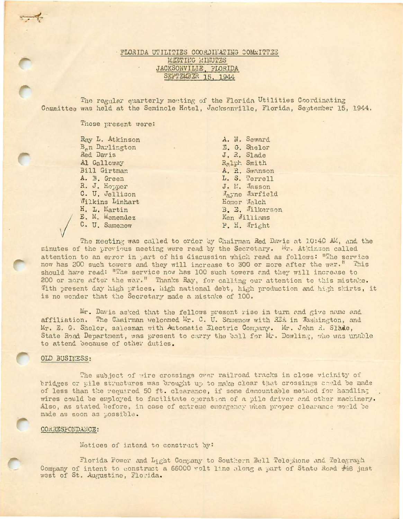# FLORIDA UTILITIES COORDINATING COMMITTEE MEETING MINUTES JACKSONVILIE, FLORIDA SEPTEMBER 15, 1944

The regular quarterly meeting of the Florida Utilities Coordinating Committee was held at the Seminole Hotel, Jacksonville, Florida, September 15, 1944.

Those present were:

Ray L. Atkinson B<sub>e</sub>n Darlington Red Davis Al Galloway Bill Girtman A. B. Green R. J. Hopper C. U. Jellison **Vilkins Linhart** H. L. Martin E. M. Manendez C. U. Samenow

A. N. Seward E. G. Shelor J. R. Slade Ralph Smith A. R. Swanson L. S. Terrell J. E. Jasson Mayne Marfield Homer Welch B. E. Jilkerson Ken Williams P. H. Wright

The meeting was called to order by Chairman Red Davis at 10:40 AM, and the minutes of the previous meeting were read by the Secretary. Wr. Atkinson called attention to an error in part of his discussion which read as follows: "The service now has 200 such towers and they will increase to 300 or more after the war." This should have read: "The service now has 100 such towers and they will increase to 200 or more after the war." Thanks Ray, for calling our attention to this mistake. With present day high prices, high national debt, high production and high skirts, it is no wonder that the Secretary made a mistake of 100.

Mr. Davis asked that the fellows present rise in turn and give name and affiliation. The Chairman welcomed Mr. C. U. Samenow with REA in Washington, and Mr. E. G. Shelor, salesman with Autometic Electric Company. Mr. John R. Slade, State Road Department, was present to carry the ball for Mr. Dowling, who was unable to attend because of other duties.

### OLD BUSINESS:

The subject of wire crossings over railroad tracks in close vicinity of bridges or pile structures was brought up to make clear that crossings sould be made of less than the required 50 ft. clearance, if some demountable method for handling wires could be employed to facilitate operation of a pile driver and other machinery. Also, as stated before, in case of extreme energency when proper clearance would be made as soon as possible.

### CORRESPONDANCE:

Notices of intend to construct by:

Florida Power and Light Company to Southern Bell Telephone and Telegraph Company of intent to construct a 66000 volt line along a part of State Road #48 just west of St. Augustine, Florida.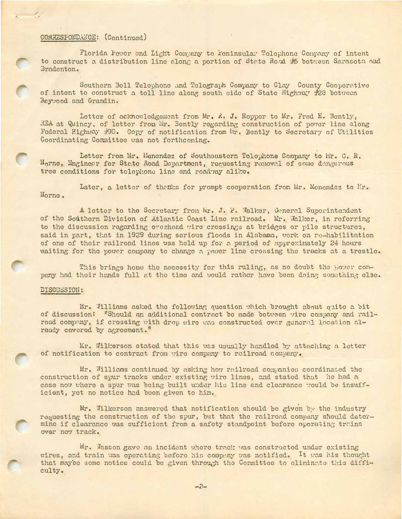## CORRESPONDANCE: (Continued)

Florida Power and Light Company to Peninsular Telephone Conpany of intent to construct a distribution line along a portion of State Road #5 between Sarasota and Bradenton.

Southern Bell Telephone and Telegraph Company to Clay County Cooperative of intent to construct a toll line along south side of State Highway #28 between Baywood and Grandin.

Letter of acknowledgement from Mr. R. J. Hopper to Mr. Frod H. Bently, REA at Quincy, of letter from Mir. Bently regarding construction of pover line along Federal Highway #90. Copy of notification from Mr. Bently to Secretary of Utilities Coordinating Committee was not forthcoming.

Letter from Mr. Menendez of Southeastern Tclephone Company to Mr. C. R. Horne, Engineer for State Road Department, requesting removal of some dangerous tree conditions for telephone line and roadway alike.

Later, a letter of thenks for prompt cooperation from Mr. Menendez to Mr. Horne.

A letter to the Secretary from Mr. J. P. Walker, General Superintendent of the Southern Division of Atlantic Coast Line railroad. Mr. Walker, in referring to the discussion regarding overheed wire crossings at bridges or pile structures, said in part, that in 1929 during serious floods in Alabama, work on re-habilitation of one of their railroad lines was held up for a period of approximately 24 hours waiting for the power company to change a power line crossing the tracks at a trestle.

This brings home the necessity for this ruling, as no doubt the power company had their hands full at the time and would rather have been doing something else.

#### DISCUSSION:

Mr. Williams asked the following question which brought about quite a bit of discussion: "Should an additional contract be made botween wire company and railroad company, if crossing with drop wire was constructed over general location already covered by agreement."

Mr. Willerson stated that this was usually handled by attaching a letter of notification to contract from wire company to railroad company.

Mr. Williams continued by asking how railroad commanies coordinated the construction of spur tracks under existing vire lines, and stated that he had a case now where a spur was being built under his line and clearance would be insufficient, yet no notice had been given to him.

Mr. Wilkerson answered that notification should be given by the industry requesting the construction of the spur, but that the railroad company should determine if clearance was sufficient from a safety standpoint before operating trains over new track.

Mr. Wasson gave an incident where track was constructed under existing wires, and train was operating before his company was notified. It was his thought that may'ee some notice could be given through the Cormittee to oliminate this difficulty.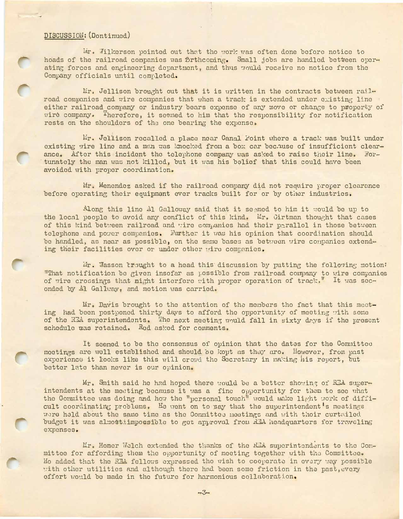## DISCUSSION: (Dontinued)

Mir. Wilkerson pointed out that the work was often done before notice to hoads of the railroad companies was firthcoming. Small jobs are handled betteen operating forces and engineering department, and thus vould receive no notice from the Company officials until completed.

Er. Jellison brought out that it is written in the contracts between railroad companies and wire companies that when a track is extended under existing line either railroad company or industry bears expense of any move or change to property of wird company. Therefore, it seemed to him that the responsibility for notification rests on the shoulders of the one bearing the expense.

Mr. Jellison recalled a place near Canal Point where a track was built under existing wire line and a man was knocked from a box car bec.ause of insufficient clearance. After this incident the telephone company was asked to raise their line. Fortunately the man was not killed, but it was his belief that this could have been avoided with proper coordination.

Mr. Menendez asked if the railroad company did not require proper clearance before operating their equipment ever tracks built for or by other industries.

Along this line Al Galloway said that it seemed to him it would be up to the local people to avoid any conflict of this kind. Mr. Girtman thought that cases of this kind between railroad and wire companies had their parallol in those between telephone and power companies. Further it was his opinion that coordination should be handled, as near as possible, on the same bases as between wire companies extending their facilities over or under other wire companies.

Mr. Wasson trought to a head this discussion by putting the following motion: "That notification be given insofar as possible from railroad company to wire companios of wire crossings that might interfere with proper operation of track." It was seconded by Al Gallway, and motion was carried.

Mr. Davis brought to the attention of the members tho fact that this meeting had been postponed thirty days to afford the opportunity of meeting with some of the REA superintendents. The next meeting would fall in sixty days if the present schedule was retained. Red asked for comments.

It seemed to be the consensus of opinion that the dates for the Committee meetings are well established and should be kopt as they are. However, from past experience it looks like this will crowd the Secretary in making his report, but better late than never is our opinion.

Mr. Smith said he had hoped there would be a better showing of REA superintendents at the meeting because it was a fine opportunity for them to see what the Committee was doing and how the "personal touch" would make light work of difficult coordinating problems. He went on to say that the superintendent's meetings were held about the same time as the Committee meetings and with thoir curtailed budget it was almostiimpossible to get approval from RIA headquarters for traveling expenses.

Mr. Homer Welch extended the thanks of the REA superintendents to the Committee for affording them the opportunity of meeting together with the Committee. Ho added that the REA fellows expressed tho wish to cooperate in every way possible with other utilities and although there had been some friction in the past, every offort would be made in the future for harmonious collaboration.